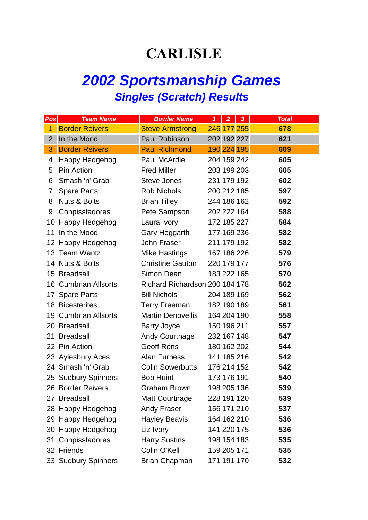## **CARLISLE**

## *2002 Sportsmanship Games Singles (Scratch) Results*

| Pos            | <b>Team Name</b>        | <b>Bowler Name</b>             | $\mathbf{1}$ | 2 <sup>1</sup> | $\overline{\mathbf{3}}$ | <b>Total</b> |
|----------------|-------------------------|--------------------------------|--------------|----------------|-------------------------|--------------|
| 1              | <b>Border Reivers</b>   | <b>Steve Armstrong</b>         |              | 246 177 255    |                         | 678          |
| $\overline{2}$ | In the Mood             | <b>Paul Robinson</b>           |              | 202 192 227    |                         | 621          |
| 3              | <b>Border Reivers</b>   | <b>Paul Richmond</b>           |              | 190 224 195    |                         | 609          |
| 4              | Happy Hedgehog          | Paul McArdle                   |              | 204 159 242    |                         | 605          |
| 5              | <b>Pin Action</b>       | <b>Fred Miller</b>             |              | 203 199 203    |                         | 605          |
| 6              | Smash 'n' Grab          | Steve Jones                    |              | 231 179 192    |                         | 602          |
| 7              | <b>Spare Parts</b>      | Rob Nichols                    |              | 200 212 185    |                         | 597          |
| 8              | <b>Nuts &amp; Bolts</b> | <b>Brian Tilley</b>            |              | 244 186 162    |                         | 592          |
| 9              | Conpisstadores          | Pete Sampson                   |              | 202 222 164    |                         | 588          |
|                | 10 Happy Hedgehog       | Laura Ivory                    |              | 172 185 227    |                         | 584          |
| 11             | In the Mood             | Gary Hoggarth                  |              | 177 169 236    |                         | 582          |
|                | 12 Happy Hedgehog       | John Fraser                    |              | 211 179 192    |                         | 582          |
|                | 13 Team Wantz           | <b>Mike Hastings</b>           |              | 167 186 226    |                         | 579          |
|                | 14 Nuts & Bolts         | <b>Christine Gauton</b>        |              | 220 179 177    |                         | 576          |
|                | 15 Breadsall            | Simon Dean                     |              | 183 222 165    |                         | 570          |
|                | 16 Cumbrian Allsorts    | Richard Richardson 200 184 178 |              |                |                         | 562          |
|                | 17 Spare Parts          | <b>Bill Nichols</b>            |              | 204 189 169    |                         | 562          |
|                | 18 Bicesterites         | <b>Terry Freeman</b>           |              | 182 190 189    |                         | 561          |
|                | 19 Cumbrian Allsorts    | <b>Martin Denovellis</b>       |              | 164 204 190    |                         | 558          |
|                | 20 Breadsall            | <b>Barry Joyce</b>             |              | 150 196 211    |                         | 557          |
|                | 21 Breadsall            | <b>Andy Courtnage</b>          |              | 232 167 148    |                         | 547          |
|                | 22 Pin Action           | <b>Geoff Rens</b>              |              | 180 162 202    |                         | 544          |
|                | 23 Aylesbury Aces       | Alan Furness                   |              | 141 185 216    |                         | 542          |
|                | 24 Smash 'n' Grab       | <b>Colin Sowerbutts</b>        |              | 176 214 152    |                         | 542          |
|                | 25 Sudbury Spinners     | <b>Bob Huint</b>               |              | 173 176 191    |                         | 540          |
|                | 26 Border Reivers       | <b>Graham Brown</b>            |              | 198 205 136    |                         | 539          |
|                | 27 Breadsall            | <b>Matt Courtnage</b>          |              | 228 191 120    |                         | 539          |
|                | 28 Happy Hedgehog       | <b>Andy Fraser</b>             |              | 156 171 210    |                         | 537          |
|                | 29 Happy Hedgehog       | <b>Hayley Beavis</b>           |              | 164 162 210    |                         | 536          |
|                | 30 Happy Hedgehog       | Liz Ivory                      |              | 141 220 175    |                         | 536          |
|                | 31 Conpisstadores       | <b>Harry Sustins</b>           |              | 198 154 183    |                         | 535          |
|                | 32 Friends              | Colin O'Kell                   |              | 159 205 171    |                         | 535          |
|                | 33 Sudbury Spinners     | <b>Brian Chapman</b>           |              | 171 191 170    |                         | 532          |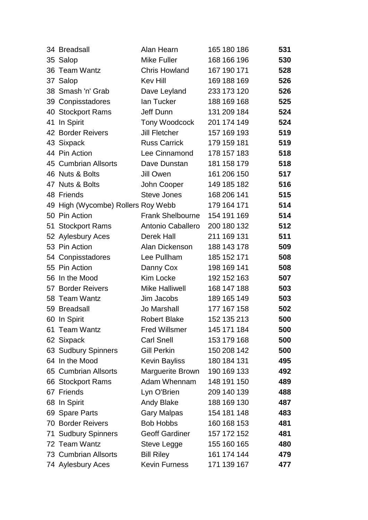|    | 34 Breadsall                       | Alan Hearn              | 165 180 186 | 531 |
|----|------------------------------------|-------------------------|-------------|-----|
|    | 35 Salop                           | Mike Fuller             | 168 166 196 | 530 |
|    | 36 Team Wantz                      | <b>Chris Howland</b>    | 167 190 171 | 528 |
|    | 37 Salop                           | <b>Kev Hill</b>         | 169 188 169 | 526 |
|    | 38 Smash 'n' Grab                  | Dave Leyland            | 233 173 120 | 526 |
|    | 39 Conpisstadores                  | lan Tucker              | 188 169 168 | 525 |
|    | 40 Stockport Rams                  | Jeff Dunn               | 131 209 184 | 524 |
| 41 | In Spirit                          | Tony Woodcock           | 201 174 149 | 524 |
|    | 42 Border Reivers                  | <b>Jill Fletcher</b>    | 157 169 193 | 519 |
|    | 43 Sixpack                         | <b>Russ Carrick</b>     | 179 159 181 | 519 |
|    | 44 Pin Action                      | Lee Cinnamond           | 178 157 183 | 518 |
|    | 45 Cumbrian Allsorts               | Dave Dunstan            | 181 158 179 | 518 |
|    | 46 Nuts & Bolts                    | Jill Owen               | 161 206 150 | 517 |
|    | 47 Nuts & Bolts                    | John Cooper             | 149 185 182 | 516 |
|    | 48 Friends                         | <b>Steve Jones</b>      | 168 206 141 | 515 |
|    | 49 High (Wycombe) Rollers Roy Webb |                         | 179 164 171 | 514 |
|    | 50 Pin Action                      | <b>Frank Shelbourne</b> | 154 191 169 | 514 |
|    | 51 Stockport Rams                  | Antonio Caballero       | 200 180 132 | 512 |
|    | 52 Aylesbury Aces                  | Derek Hall              | 211 169 131 | 511 |
|    | 53 Pin Action                      | Alan Dickenson          | 188 143 178 | 509 |
|    | 54 Conpisstadores                  | Lee Pullham             | 185 152 171 | 508 |
|    | 55 Pin Action                      | Danny Cox               | 198 169 141 | 508 |
|    | 56 In the Mood                     | Kim Locke               | 192 152 163 | 507 |
|    | 57 Border Reivers                  | <b>Mike Halliwell</b>   | 168 147 188 | 503 |
|    | 58 Team Wantz                      | Jim Jacobs              | 189 165 149 | 503 |
|    | 59 Breadsall                       | Jo Marshall             | 177 167 158 | 502 |
|    | 60 In Spirit                       | <b>Robert Blake</b>     | 152 135 213 | 500 |
|    | 61 Team Wantz                      | <b>Fred Willsmer</b>    | 145 171 184 | 500 |
|    | 62 Sixpack                         | <b>Carl Snell</b>       | 153 179 168 | 500 |
|    | 63 Sudbury Spinners                | <b>Gill Perkin</b>      | 150 208 142 | 500 |
|    | 64 In the Mood                     | Kevin Bayliss           | 180 184 131 | 495 |
|    | 65 Cumbrian Allsorts               | Marguerite Brown        | 190 169 133 | 492 |
|    | 66 Stockport Rams                  | Adam Whennam            | 148 191 150 | 489 |
|    | 67 Friends                         | Lyn O'Brien             | 209 140 139 | 488 |
|    | 68 In Spirit                       | <b>Andy Blake</b>       | 188 169 130 | 487 |
|    | 69 Spare Parts                     | <b>Gary Malpas</b>      | 154 181 148 | 483 |
|    | <b>70 Border Reivers</b>           | <b>Bob Hobbs</b>        | 160 168 153 | 481 |
|    | 71 Sudbury Spinners                | <b>Geoff Gardiner</b>   | 157 172 152 | 481 |
|    | 72 Team Wantz                      | Steve Legge             | 155 160 165 | 480 |
|    | 73 Cumbrian Allsorts               | <b>Bill Riley</b>       | 161 174 144 | 479 |
|    | 74 Aylesbury Aces                  | <b>Kevin Furness</b>    | 171 139 167 | 477 |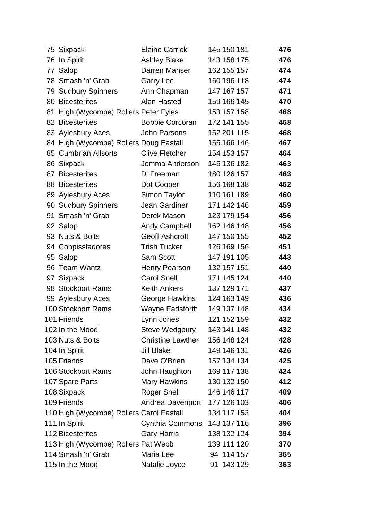|    | 75 Sixpack                               | <b>Elaine Carrick</b>    | 145 150 181 | 476 |
|----|------------------------------------------|--------------------------|-------------|-----|
|    | 76 In Spirit                             | <b>Ashley Blake</b>      | 143 158 175 | 476 |
|    | 77 Salop                                 | Darren Manser            | 162 155 157 | 474 |
|    | 78 Smash 'n' Grab                        | <b>Garry Lee</b>         | 160 196 118 | 474 |
|    | 79 Sudbury Spinners                      | Ann Chapman              | 147 167 157 | 471 |
|    | 80 Bicesterites                          | Alan Hasted              | 159 166 145 | 470 |
| 81 | High (Wycombe) Rollers Peter Fyles       |                          | 153 157 158 | 468 |
|    | 82 Bicesterites                          | <b>Bobbie Corcoran</b>   | 172 141 155 | 468 |
|    | 83 Aylesbury Aces                        | <b>John Parsons</b>      | 152 201 115 | 468 |
|    | 84 High (Wycombe) Rollers Doug Eastall   |                          | 155 166 146 | 467 |
|    | 85 Cumbrian Allsorts                     | <b>Clive Fletcher</b>    | 154 153 157 | 464 |
|    | 86 Sixpack                               | Jemma Anderson           | 145 136 182 | 463 |
|    | 87 Bicesterites                          | Di Freeman               | 180 126 157 | 463 |
|    | 88 Bicesterites                          | Dot Cooper               | 156 168 138 | 462 |
|    | 89 Aylesbury Aces                        | Simon Taylor             | 110 161 189 | 460 |
|    | 90 Sudbury Spinners                      | Jean Gardiner            | 171 142 146 | 459 |
|    | 91 Smash 'n' Grab                        | Derek Mason              | 123 179 154 | 456 |
|    | 92 Salop                                 | <b>Andy Campbell</b>     | 162 146 148 | 456 |
|    | 93 Nuts & Bolts                          | Geoff Ashcroft           | 147 150 155 | 452 |
|    | 94 Conpisstadores                        | <b>Trish Tucker</b>      | 126 169 156 | 451 |
|    | 95 Salop                                 | <b>Sam Scott</b>         | 147 191 105 | 443 |
|    | 96 Team Wantz                            | <b>Henry Pearson</b>     | 132 157 151 | 440 |
|    | 97 Sixpack                               | <b>Carol Snell</b>       | 171 145 124 | 440 |
|    | 98 Stockport Rams                        | Keith Ankers             | 137 129 171 | 437 |
|    | 99 Aylesbury Aces                        | George Hawkins           | 124 163 149 | 436 |
|    | 100 Stockport Rams                       | <b>Wayne Eadsforth</b>   | 149 137 148 | 434 |
|    | 101 Friends                              | Lynn Jones               | 121 152 159 | 432 |
|    | 102 In the Mood                          | Steve Wedgbury           | 143 141 148 | 432 |
|    | 103 Nuts & Bolts                         | <b>Christine Lawther</b> | 156 148 124 | 428 |
|    | 104 In Spirit                            | Jill Blake               | 149 146 131 | 426 |
|    | 105 Friends                              | Dave O'Brien             | 157 134 134 | 425 |
|    | 106 Stockport Rams                       | John Haughton            | 169 117 138 | 424 |
|    | 107 Spare Parts                          | <b>Mary Hawkins</b>      | 130 132 150 | 412 |
|    | 108 Sixpack                              | <b>Roger Snell</b>       | 146 146 117 | 409 |
|    | 109 Friends                              | Andrea Davenport         | 177 126 103 | 406 |
|    | 110 High (Wycombe) Rollers Carol Eastall |                          | 134 117 153 | 404 |
|    | 111 In Spirit                            | Cynthia Commons          | 143 137 116 | 396 |
|    | <b>112 Bicesterites</b>                  | <b>Gary Harris</b>       | 138 132 124 | 394 |
|    | 113 High (Wycombe) Rollers Pat Webb      |                          | 139 111 120 | 370 |
|    | 114 Smash 'n' Grab                       | Maria Lee                | 94 114 157  | 365 |
|    | 115 In the Mood                          | Natalie Joyce            | 91 143 129  | 363 |